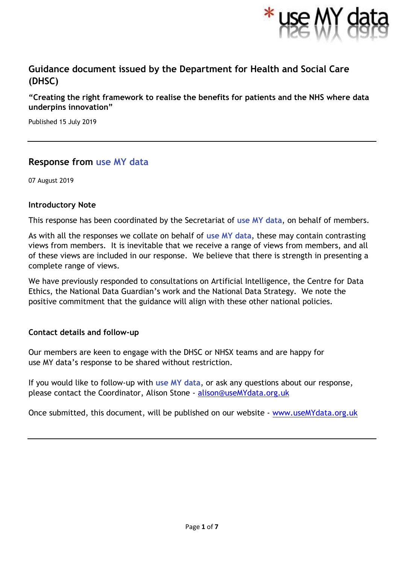

# **Guidance document issued by the Department for Health and Social Care (DHSC)**

**"Creating the right framework to realise the benefits for patients and the NHS where data underpins innovation"**

Published 15 July 2019

# **Response from use MY data**

07 August 2019

#### **Introductory Note**

This response has been coordinated by the Secretariat of **use MY data**, on behalf of members.

As with all the responses we collate on behalf of **use MY data**, these may contain contrasting views from members. It is inevitable that we receive a range of views from members, and all of these views are included in our response. We believe that there is strength in presenting a complete range of views.

We have previously responded to consultations on Artificial Intelligence, the Centre for Data Ethics, the National Data Guardian's work and the National Data Strategy. We note the positive commitment that the guidance will align with these other national policies.

## **Contact details and follow-up**

Our members are keen to engage with the DHSC or NHSX teams and are happy for use MY data's response to be shared without restriction.

If you would like to follow-up with **use MY data**, or ask any questions about our response, please contact the Coordinator, Alison Stone - [alison@useMYdata.org.uk](mailto:alison@useMYdata.org.uk)

Once submitted, this document, will be published on our website - [www.useMYdata.org.uk](http://www.usemydata.org.uk/)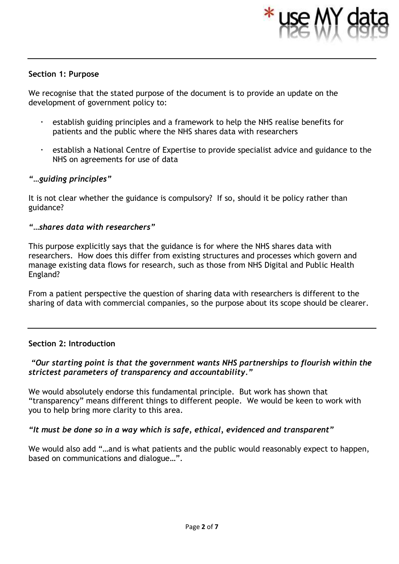

#### **Section 1: Purpose**

We recognise that the stated purpose of the document is to provide an update on the development of government policy to:

- establish guiding principles and a framework to help the NHS realise benefits for patients and the public where the NHS shares data with researchers
- establish a National Centre of Expertise to provide specialist advice and guidance to the NHS on agreements for use of data

## *"…guiding principles"*

It is not clear whether the guidance is compulsory? If so, should it be policy rather than guidance?

#### *"…shares data with researchers"*

This purpose explicitly says that the guidance is for where the NHS shares data with researchers. How does this differ from existing structures and processes which govern and manage existing data flows for research, such as those from NHS Digital and Public Health England?

From a patient perspective the question of sharing data with researchers is different to the sharing of data with commercial companies, so the purpose about its scope should be clearer.

## **Section 2: Introduction**

## *"Our starting point is that the government wants NHS partnerships to flourish within the strictest parameters of transparency and accountability."*

We would absolutely endorse this fundamental principle. But work has shown that "transparency" means different things to different people. We would be keen to work with you to help bring more clarity to this area.

## *"It must be done so in a way which is safe, ethical, evidenced and transparent"*

We would also add "…and is what patients and the public would reasonably expect to happen, based on communications and dialogue…".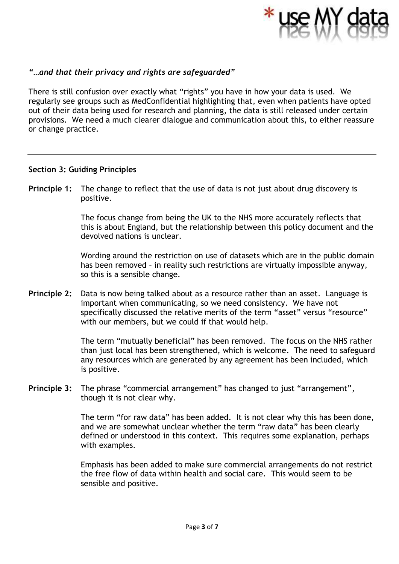

## *"…and that their privacy and rights are safeguarded"*

There is still confusion over exactly what "rights" you have in how your data is used. We regularly see groups such as MedConfidential highlighting that, even when patients have opted out of their data being used for research and planning, the data is still released under certain provisions. We need a much clearer dialogue and communication about this, to either reassure or change practice.

#### **Section 3: Guiding Principles**

**Principle 1:** The change to reflect that the use of data is not just about drug discovery is positive.

> The focus change from being the UK to the NHS more accurately reflects that this is about England, but the relationship between this policy document and the devolved nations is unclear.

> Wording around the restriction on use of datasets which are in the public domain has been removed – in reality such restrictions are virtually impossible anyway, so this is a sensible change.

**Principle 2:** Data is now being talked about as a resource rather than an asset. Language is important when communicating, so we need consistency. We have not specifically discussed the relative merits of the term "asset" versus "resource" with our members, but we could if that would help.

> The term "mutually beneficial" has been removed. The focus on the NHS rather than just local has been strengthened, which is welcome. The need to safeguard any resources which are generated by any agreement has been included, which is positive.

**Principle 3:** The phrase "commercial arrangement" has changed to just "arrangement", though it is not clear why.

> The term "for raw data" has been added. It is not clear why this has been done, and we are somewhat unclear whether the term "raw data" has been clearly defined or understood in this context. This requires some explanation, perhaps with examples.

> Emphasis has been added to make sure commercial arrangements do not restrict the free flow of data within health and social care. This would seem to be sensible and positive.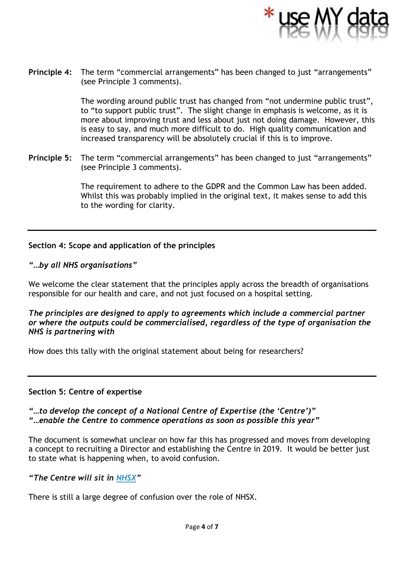

**Principle 4:** The term "commercial arrangements" has been changed to just "arrangements" (see Principle 3 comments).

> The wording around public trust has changed from "not undermine public trust", to "to support public trust". The slight change in emphasis is welcome, as it is more about improving trust and less about just not doing damage. However, this is easy to say, and much more difficult to do. High quality communication and increased transparency will be absolutely crucial if this is to improve.

**Principle 5:** The term "commercial arrangements" has been changed to just "arrangements" (see Principle 3 comments).

> The requirement to adhere to the GDPR and the Common Law has been added. Whilst this was probably implied in the original text, it makes sense to add this to the wording for clarity.

## **Section 4: Scope and application of the principles**

## *"…by all NHS organisations"*

We welcome the clear statement that the principles apply across the breadth of organisations responsible for our health and care, and not just focused on a hospital setting.

## *The principles are designed to apply to agreements which include a commercial partner or where the outputs could be commercialised, regardless of the type of organisation the NHS is partnering with*

How does this tally with the original statement about being for researchers?

## **Section 5: Centre of expertise**

## *"…to develop the concept of a National Centre of Expertise (the 'Centre')" "…enable the Centre to commence operations as soon as possible this year"*

The document is somewhat unclear on how far this has progressed and moves from developing a concept to recruiting a Director and establishing the Centre in 2019. It would be better just to state what is happening when, to avoid confusion.

## *"The Centre will sit in [NHSX](https://www.nhsx.nhs.uk/)"*

There is still a large degree of confusion over the role of NHSX.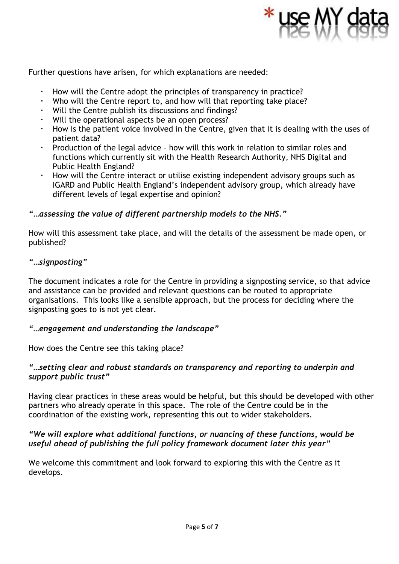

Further questions have arisen, for which explanations are needed:

- How will the Centre adopt the principles of transparency in practice?
- Who will the Centre report to, and how will that reporting take place?
- Will the Centre publish its discussions and findings?
- Will the operational aspects be an open process?
- How is the patient voice involved in the Centre, given that it is dealing with the uses of patient data?
- Production of the legal advice how will this work in relation to similar roles and functions which currently sit with the Health Research Authority, NHS Digital and Public Health England?
- How will the Centre interact or utilise existing independent advisory groups such as IGARD and Public Health England's independent advisory group, which already have different levels of legal expertise and opinion?

#### *"…assessing the value of different partnership models to the NHS."*

How will this assessment take place, and will the details of the assessment be made open, or published?

#### *"…signposting"*

The document indicates a role for the Centre in providing a signposting service, so that advice and assistance can be provided and relevant questions can be routed to appropriate organisations. This looks like a sensible approach, but the process for deciding where the signposting goes to is not yet clear.

#### *"…engagement and understanding the landscape"*

How does the Centre see this taking place?

## *"…setting clear and robust standards on transparency and reporting to underpin and support public trust"*

Having clear practices in these areas would be helpful, but this should be developed with other partners who already operate in this space. The role of the Centre could be in the coordination of the existing work, representing this out to wider stakeholders.

## *"We will explore what additional functions, or nuancing of these functions, would be useful ahead of publishing the full policy framework document later this year"*

We welcome this commitment and look forward to exploring this with the Centre as it develops.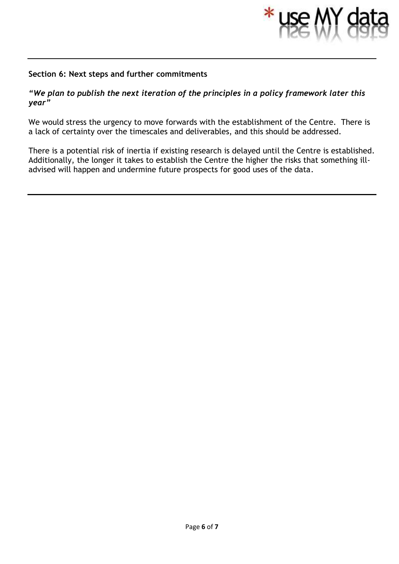

#### **Section 6: Next steps and further commitments**

#### *"We plan to publish the next iteration of the principles in a policy framework later this year"*

We would stress the urgency to move forwards with the establishment of the Centre. There is a lack of certainty over the timescales and deliverables, and this should be addressed.

There is a potential risk of inertia if existing research is delayed until the Centre is established. Additionally, the longer it takes to establish the Centre the higher the risks that something illadvised will happen and undermine future prospects for good uses of the data.